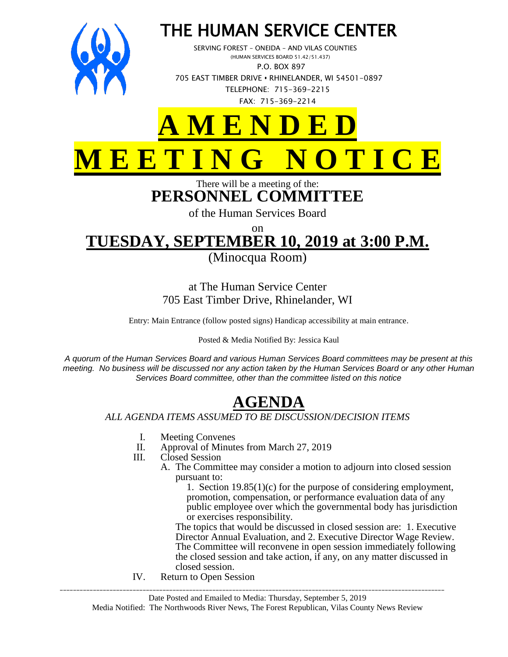

## THE HUMAN SERVICE CENTER

 SERVING FOREST – ONEIDA – AND VILAS COUNTIES (HUMAN SERVICES BOARD 51.42/51.437) P.O. BOX 897 705 EAST TIMBER DRIVE **•** RHINELANDER, WI 54501-0897 TELEPHONE: 715-369-2215 FAX: 715-369-2214

# **A M E N D E D M E E T I N G N O T I C E**

There will be a meeting of the: **PERSONNEL COMMITTEE**

of the Human Services Board

on **TUESDAY, SEPTEMBER 10, 2019 at 3:00 P.M.**

(Minocqua Room)

### at The Human Service Center 705 East Timber Drive, Rhinelander, WI

Entry: Main Entrance (follow posted signs) Handicap accessibility at main entrance.

#### Posted & Media Notified By: Jessica Kaul

*A quorum of the Human Services Board and various Human Services Board committees may be present at this meeting. No business will be discussed nor any action taken by the Human Services Board or any other Human Services Board committee, other than the committee listed on this notice*

## **AGENDA**

#### *ALL AGENDA ITEMS ASSUMED TO BE DISCUSSION/DECISION ITEMS*

- I. Meeting Convenes<br>II. Approval of Minute
- II. Approval of Minutes from March 27, 2019<br>III. Closed Session
- Closed Session
	- A. The Committee may consider a motion to adjourn into closed session pursuant to:
		- 1. Section 19.85(1)(c) for the purpose of considering employment, promotion, compensation, or performance evaluation data of any public employee over which the governmental body has jurisdiction or exercises responsibility.

The topics that would be discussed in closed session are: 1. Executive Director Annual Evaluation, and 2. Executive Director Wage Review. The Committee will reconvene in open session immediately following the closed session and take action, if any, on any matter discussed in closed session.

IV. Return to Open Session

\_\_\_\_\_\_\_\_\_\_\_\_\_\_\_\_\_\_\_\_\_\_\_\_\_\_\_\_\_\_\_\_\_\_\_\_\_\_\_\_\_\_\_\_\_\_\_\_\_\_\_\_\_\_\_\_\_\_\_\_\_\_\_\_\_\_\_\_\_\_\_\_\_\_\_\_\_\_\_\_\_\_\_\_\_\_\_\_\_\_\_\_\_\_\_\_\_\_\_\_\_\_\_\_\_\_\_\_\_\_\_\_\_\_\_\_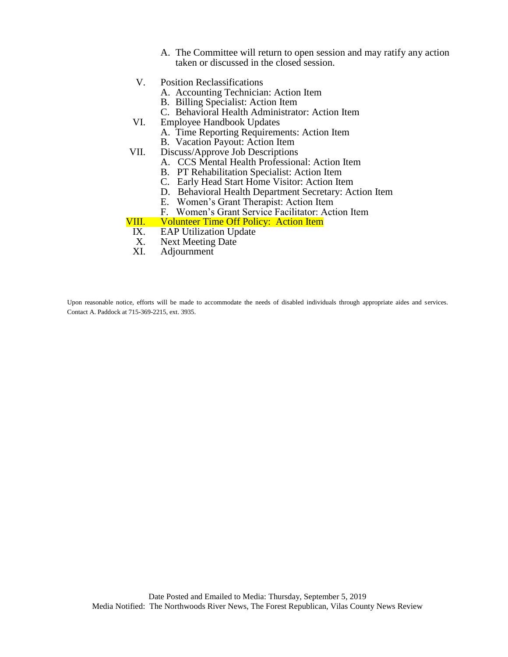- A. The Committee will return to open session and may ratify any action taken or discussed in the closed session.
- V. Position Reclassifications
	- A. Accounting Technician: Action Item
	- B. Billing Specialist: Action Item
	- C. Behavioral Health Administrator: Action Item
- VI. Employee Handbook Updates
	- A. Time Reporting Requirements: Action Item
		- B. Vacation Payout: Action Item
- VII. Discuss/Approve Job Descriptions
	- A. CCS Mental Health Professional: Action Item
	- B. PT Rehabilitation Specialist: Action Item
	- C. Early Head Start Home Visitor: Action Item
	- D. Behavioral Health Department Secretary: Action Item
	- E. Women's Grant Therapist: Action Item
	- F. Women's Grant Service Facilitator: Action Item

## VIII. Volunteer Time Off Policy: Action Item<br>IX. EAP Utilization Update

- **EAP Utilization Update**
- X. Next Meeting Date
- XI. Adjournment

Upon reasonable notice, efforts will be made to accommodate the needs of disabled individuals through appropriate aides and services. Contact A. Paddock at 715-369-2215, ext. 3935.